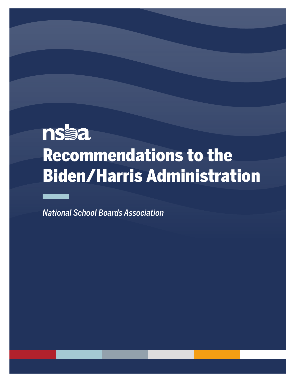# **nsaa** Recommendations to the Biden/Harris Administration

Recommendations to the Biden/Harris Administration

*National School Boards Association*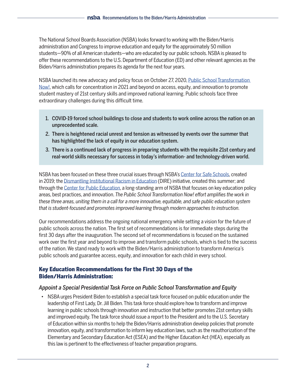The National School Boards Association (NSBA) looks forward to working with the Biden/Harris administration and Congress to improve education and equity for the approximately 50 million students—90% of all American students—who are educated by our public schools. NSBA is pleased to offer these recommendations to the U.S. Department of Education (ED) and other relevant agencies as the Biden/Harris administration prepares its agenda for the next four years.

NSBA launched its new advocacy and policy focus on October 27, 2020, [Public School Transformation](https://nsba.org/Advocacy/Federal-Legislative-Priorities/school-transformation-now)  [Now!,](https://nsba.org/Advocacy/Federal-Legislative-Priorities/school-transformation-now) which calls for concentration in 2021 and beyond on access, equity, and innovation to promote student mastery of 21st century skills and improved national learning. Public schools face three extraordinary challenges during this difficult time.

- 1. COVID-19 forced school buildings to close and students to work online across the nation on an unprecedented scale.
- 2. There is heightened racial unrest and tension as witnessed by events over the summer that has highlighted the lack of equity in our education system.
- 3. There is a continued lack of progress in preparing students with the requisite 21st century and real-world skills necessary for success in today's information- and technology-driven world.

NSBA has been focused on these three crucial issues through NSBA's [Center for Safe Schools,](https://www.nsba4safeschools.org/home) created in 2019; the [Dismantling Institutional Racism in Education](https://www.nsba.org/Advocacy/Equity/DIRE) (DIRE) initiative, created this summer; and through the [Center for Public Education](https://www.nsba.org/Services/Center-for-Public-Education), a long-standing arm of NSBA that focuses on key education policy areas, best practices, and innovation. *The Public School Transformation Now! effort amplifies the work in these three areas, uniting them in a call for a more innovative, equitable, and safe public education system that is student-focused and promotes improved learning through modern approaches to instruction.*

Our recommendations address the ongoing national emergency while setting a vision for the future of public schools across the nation. The first set of recommendations is for immediate steps during the first 30 days after the inauguration. The second set of recommendations is focused on the sustained work over the first year and beyond to improve and transform public schools, which is tied to the success of the nation. We stand ready to work with the Biden/Harris administration to transform America's public schools and guarantee access, equity, and innovation for each child in every school.

# Key Education Recommendations for the First 30 Days of the Biden/Harris Administration:

# *Appoint a Special Presidential Task Force on Public School Transformation and Equity*

• NSBA urges President Biden to establish a special task force focused on public education under the leadership of First Lady, Dr. Jill Biden. This task force should explore how to transform and improve learning in public schools through innovation and instruction that better promotes 21st century skills and improved equity. The task force should issue a report to the President and to the U.S. Secretary of Education within six months to help the Biden/Harris administration develop policies that promote innovation, equity, and transformation to inform key education laws, such as the reauthorization of the Elementary and Secondary Education Act (ESEA) and the Higher Education Act (HEA), especially as this law is pertinent to the effectiveness of teacher preparation programs.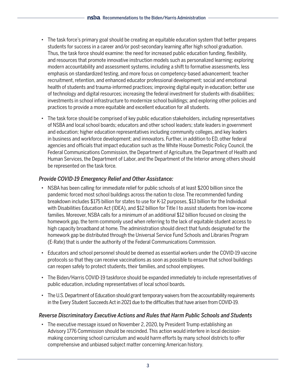- The task force's primary goal should be creating an equitable education system that better prepares students for success in a career and/or post-secondary learning after high school graduation. Thus, the task force should examine: the need for increased public education funding, flexibility, and resources that promote innovative instruction models such as personalized learning; exploring modern accountability and assessment systems, including a shift to formative assessments, less emphasis on standardized testing, and more focus on competency-based advancement; teacher recruitment, retention, and enhanced educator professional development; social and emotional health of students and trauma-informed practices; improving digital equity in education; better use of technology and digital resources; increasing the federal investment for students with disabilities; investments in school infrastructure to modernize school buildings; and exploring other policies and practices to provide a more equitable and excellent education for all students.
- The task force should be comprised of key public education stakeholders, including representatives of NSBA and local school boards; educators and other school leaders; state leaders in government and education; higher education representatives including community colleges, and key leaders in business and workforce development; and innovators. Further, in addition to ED, other federal agencies and officials that impact education such as the White House Domestic Policy Council, the Federal Communications Commission, the Department of Agriculture, the Department of Health and Human Services, the Department of Labor, and the Department of the Interior among others should be represented on the task force.

# *Provide COVID-19 Emergency Relief and Other Assistance:*

- NSBA has been calling for immediate relief for public schools of at least \$200 billion since the pandemic forced most school buildings across the nation to close. The recommended funding breakdown includes \$175 billion for states to use for K-12 purposes, \$13 billion for the Individual with Disabilities Education Act (IDEA), and \$12 billion for Title I to assist students from low-income families. Moreover, NSBA calls for a minimum of an additional \$12 billion focused on closing the homework gap, the term commonly used when referring to the lack of equitable student access to high capacity broadband at home. The administration should direct that funds designated for the homework gap be distributed through the Universal Service Fund Schools and Libraries Program (E-Rate) that is under the authority of the Federal Communications Commission.
- Educators and school personnel should be deemed as essential workers under the COVID-19 vaccine protocols so that they can receive vaccinations as soon as possible to ensure that school buildings can reopen safely to protect students, their families, and school employees.
- The Biden/Harris COVID-19 taskforce should be expanded immediately to include representatives of public education, including representatives of local school boards.
- The U.S. Department of Education should grant temporary waivers from the accountability requirements in the Every Student Succeeds Act in 2021 due to the difficulties that have arisen from COVID-19.

# *Reverse Discriminatory Executive Actions and Rules that Harm Public Schools and Students*

• The executive message issued on November 2, 2020, by President Trump establishing an Advisory 1776 Commission should be rescinded. This action would interfere in local decisionmaking concerning school curriculum and would harm efforts by many school districts to offer comprehensive and unbiased subject matter concerning American history.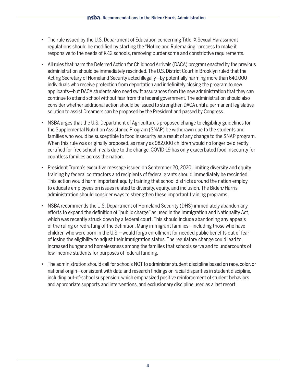- The rule issued by the U.S. Department of Education concerning Title IX Sexual Harassment regulations should be modified by starting the "Notice and Rulemaking" process to make it responsive to the needs of K-12 schools, removing burdensome and constrictive requirements.
- All rules that harm the Deferred Action for Childhood Arrivals (DACA) program enacted by the previous administration should be immediately rescinded. The U.S. District Court in Brooklyn ruled that the Acting Secretary of Homeland Security acted illegally—by potentially harming more than 640,000 individuals who receive protection from deportation and indefinitely closing the program to new applicants—but DACA students also need swift assurances from the new administration that they can continue to attend school without fear from the federal government. The administration should also consider whether additional action should be issued to strengthen DACA until a permanent legislative solution to assist Dreamers can be proposed by the President and passed by Congress.
- NSBA urges that the U.S. Department of Agriculture's proposed change to eligibility guidelines for the Supplemental Nutrition Assistance Program (SNAP) be withdrawn due to the students and families who would be susceptible to food insecurity as a result of any change to the SNAP program. When this rule was originally proposed, as many as 982,000 children would no longer be directly certified for free school meals due to the change. COVID-19 has only exacerbated food insecurity for countless families across the nation.
- President Trump's executive message issued on September 20, 2020, limiting diversity and equity training by federal contractors and recipients of federal grants should immediately be rescinded. This action would harm important equity training that school districts around the nation employ to educate employees on issues related to diversity, equity, and inclusion. The Biden/Harris administration should consider ways to strengthen these important training programs.
- NSBA recommends the U.S. Department of Homeland Security (DHS) immediately abandon any efforts to expand the definition of "public charge" as used in the Immigration and Nationality Act, which was recently struck down by a federal court. This should include abandoning any appeals of the ruling or redrafting of the definition. Many immigrant families—including those who have children who were born in the U.S.—would forgo enrollment for needed public benefits out of fear of losing the eligibility to adjust their immigration status. The regulatory change could lead to increased hunger and homelessness among the families that schools serve and to undercounts of low-income students for purposes of federal funding.
- The administration should call for schools NOT to administer student discipline based on race, color, or national origin—consistent with data and research findings on racial disparities in student discipline, including out-of-school suspension, which emphasized positive reinforcement of student behaviors and appropriate supports and interventions, and exclusionary discipline used as a last resort.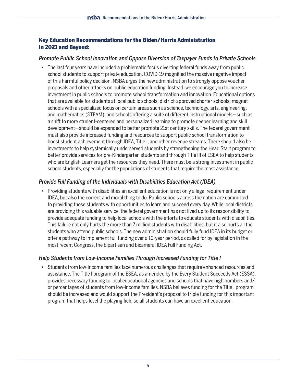# Key Education Recommendations for the Biden/Harris Administration in 2021 and Beyond:

## *Promote Public School Innovation and Oppose Diversion of Taxpayer Funds to Private Schools*

• The last four years have included a problematic focus diverting federal funds away from public school students to support private education. COVID-19 magnified the massive negative impact of this harmful policy decision. NSBA urges the new administration to strongly oppose voucher proposals and other attacks on public education funding. Instead, we encourage you to increase investment in public schools to promote school transformation and innovation. Educational options that are available for students at local public schools; district-approved charter schools; magnet schools with a specialized focus on certain areas such as science, technology, arts, engineering, and mathematics (STEAM); and schools offering a suite of different instructional models—such as a shift to more student-centered and personalized learning to promote deeper learning and skill development—should be expanded to better promote 21st century skills. The federal government must also provide increased funding and resources to support public school transformation to boost student achievement through IDEA, Title I, and other revenue streams. There should also be investments to help systemically underserved students by strengthening the Head Start program to better provide services for pre-Kindergarten students and through Title III of ESEA to help students who are English Learners get the resources they need. There must be a strong investment in public school students, especially for the populations of students that require the most assistance.

# *Provide Full Funding of the Individuals with Disabilities Education Act (IDEA)*

• Providing students with disabilities an excellent education is not only a legal requirement under IDEA, but also the correct and moral thing to do. Public schools across the nation are committed to providing those students with opportunities to learn and succeed every day. While local districts are providing this valuable service, the federal government has not lived up to its responsibility to provide adequate funding to help local schools with the efforts to educate students with disabilities. This failure not only hurts the more than 7 million students with disabilities; but it also hurts all the students who attend public schools. The new administration should fully fund IDEA in its budget or offer a pathway to implement full funding over a 10-year period, as called for by legislation in the most recent Congress, the bipartisan and bicameral IDEA Full Funding Act.

# *Help Students from Low-Income Families Through Increased Funding for Title I*

• Students from low-income families face numerous challenges that require enhanced resources and assistance. The Title I program of the ESEA, as amended by the Every Student Succeeds Act (ESSA), provides necessary funding to local educational agencies and schools that have high numbers and/ or percentages of students from low-income families. NSBA believes funding for the Title I program should be increased and would support the President's proposal to triple funding for this important program that helps level the playing field so all students can have an excellent education.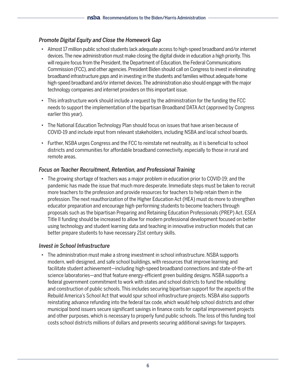## *Promote Digital Equity and Close the Homework Gap*

- Almost 17 million public school students lack adequate access to high-speed broadband and/or internet devices. The new administration must make closing the digital divide in education a high priority. This will require focus from the President, the Department of Education, the Federal Communications Commission (FCC), and other agencies. President Biden should call on Congress to invest in eliminating broadband infrastructure gaps and in investing in the students and families without adequate home high-speed broadband and/or internet devices. The administration also should engage with the major technology companies and internet providers on this important issue.
- This infrastructure work should include a request by the administration for the funding the FCC needs to support the implementation of the bipartisan Broadband DATA Act (approved by Congress earlier this year).
- The National Education Technology Plan should focus on issues that have arisen because of COVID-19 and include input from relevant stakeholders, including NSBA and local school boards.
- Further, NSBA urges Congress and the FCC to reinstate net neutrality, as it is beneficial to school districts and communities for affordable broadband connectivity, especially to those in rural and remote areas.

#### *Focus on Teacher Recruitment, Retention, and Professional Training*

• The growing shortage of teachers was a major problem in education prior to COVID-19; and the pandemic has made the issue that much more desperate. Immediate steps must be taken to recruit more teachers to the profession and provide resources for teachers to help retain them in the profession. The next reauthorization of the Higher Education Act (HEA) must do more to strengthen educator preparation and encourage high-performing students to become teachers through proposals such as the bipartisan Preparing and Retaining Education Professionals (PREP) Act. ESEA Title II funding should be increased to allow for modern professional development focused on better using technology and student learning data and teaching in innovative instruction models that can better prepare students to have necessary 21st century skills.

#### *Invest in School Infrastructure*

• The administration must make a strong investment in school infrastructure. NSBA supports modern, well-designed, and safe school buildings, with resources that improve learning and facilitate student achievement—including high-speed broadband connections and state-of-the-art science laboratories—and that feature energy-efficient green building designs. NSBA supports a federal government commitment to work with states and school districts to fund the rebuilding and construction of public schools. This includes securing bipartisan support for the aspects of the Rebuild America's School Act that would spur school infrastructure projects. NSBA also supports reinstating advance refunding into the federal tax code, which would help school districts and other municipal bond issuers secure significant savings in finance costs for capital improvement projects and other purposes, which is necessary to properly fund public schools. The loss of this funding tool costs school districts millions of dollars and prevents securing additional savings for taxpayers.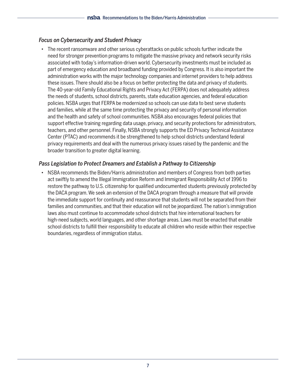## *Focus on Cybersecurity and Student Privacy*

• The recent ransomware and other serious cyberattacks on public schools further indicate the need for stronger prevention programs to mitigate the massive privacy and network security risks associated with today's information-driven world. Cybersecurity investments must be included as part of emergency education and broadband funding provided by Congress. It is also important the administration works with the major technology companies and internet providers to help address these issues. There should also be a focus on better protecting the data and privacy of students. The 40-year-old Family Educational Rights and Privacy Act (FERPA) does not adequately address the needs of students, school districts, parents, state education agencies, and federal education policies. NSBA urges that FERPA be modernized so schools can use data to best serve students and families, while at the same time protecting the privacy and security of personal information and the health and safety of school communities. NSBA also encourages federal policies that support effective training regarding data usage, privacy, and security protections for administrators, teachers, and other personnel. Finally, NSBA strongly supports the ED Privacy Technical Assistance Center (PTAC) and recommends it be strengthened to help school districts understand federal privacy requirements and deal with the numerous privacy issues raised by the pandemic and the broader transition to greater digital learning.

# *Pass Legislation to Protect Dreamers and Establish a Pathway to Citizenship*

• NSBA recommends the Biden/Harris administration and members of Congress from both parties act swiftly to amend the Illegal Immigration Reform and Immigrant Responsibility Act of 1996 to restore the pathway to U.S. citizenship for qualified undocumented students previously protected by the DACA program. We seek an extension of the DACA program through a measure that will provide the immediate support for continuity and reassurance that students will not be separated from their families and communities, and that their education will not be jeopardized. The nation's immigration laws also must continue to accommodate school districts that hire international teachers for high-need subjects, world languages, and other shortage areas. Laws must be enacted that enable school districts to fulfill their responsibility to educate all children who reside within their respective boundaries, regardless of immigration status.